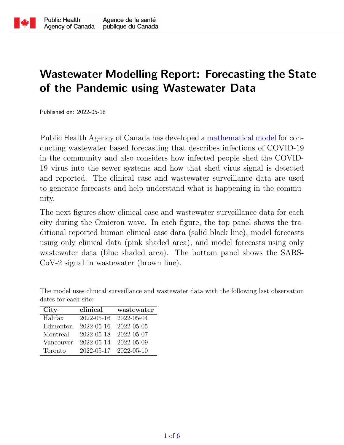

# Wastewater Modelling Report: Forecasting the State of the Pandemic using Wastewater Data

Published on: 2022-05-18

Public Health Agency of Canada has developed a [mathematical model](https://www.sciencedirect.com/science/article/pii/S1755436522000172) for conducting wastewater based forecasting that describes infections of COVID-19 in the community and also considers how infected people shed the COVID-19 virus into the sewer systems and how that shed virus signal is detected and reported. The clinical case and wastewater surveillance data are used to generate forecasts and help understand what is happening in the community.

The next figures show clinical case and wastewater surveillance data for each city during the Omicron wave. In each figure, the top panel shows the traditional reported human clinical case data (solid black line), model forecasts using only clinical data (pink shaded area), and model forecasts using only wastewater data (blue shaded area). The bottom panel shows the SARS-CoV-2 signal in wastewater (brown line).

| The model uses clinical surveillance and was tewater data with the following last observation |  |  |  |  |  |
|-----------------------------------------------------------------------------------------------|--|--|--|--|--|
| dates for each site:                                                                          |  |  |  |  |  |

| City      | clinical   | wastewater |
|-----------|------------|------------|
| Halifax   | 2022-05-16 | 2022-05-04 |
| Edmonton  | 2022-05-16 | 2022-05-05 |
| Montreal  | 2022-05-18 | 2022-05-07 |
| Vancouver | 2022-05-14 | 2022-05-09 |
| Toronto   | 2022-05-17 | 2022-05-10 |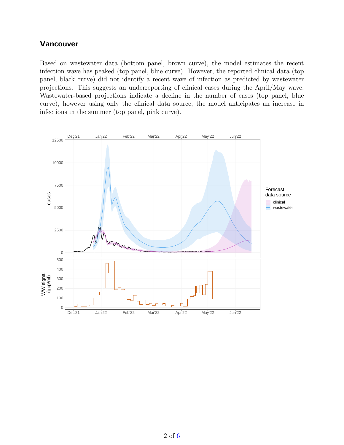#### Vancouver

Based on wastewater data (bottom panel, brown curve), the model estimates the recent infection wave has peaked (top panel, blue curve). However, the reported clinical data (top panel, black curve) did not identify a recent wave of infection as predicted by wastewater projections. This suggests an underreporting of clinical cases during the April/May wave. Wastewater-based projections indicate a decline in the number of cases (top panel, blue curve), however using only the clinical data source, the model anticipates an increase in infections in the summer (top panel, pink curve).

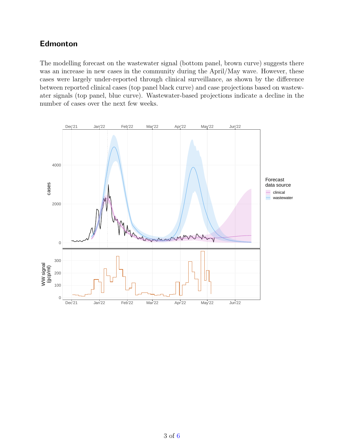#### Edmonton

The modelling forecast on the wastewater signal (bottom panel, brown curve) suggests there was an increase in new cases in the community during the April/May wave. However, these cases were largely under-reported through clinical surveillance, as shown by the difference between reported clinical cases (top panel black curve) and case projections based on wastewater signals (top panel, blue curve). Wastewater-based projections indicate a decline in the number of cases over the next few weeks.

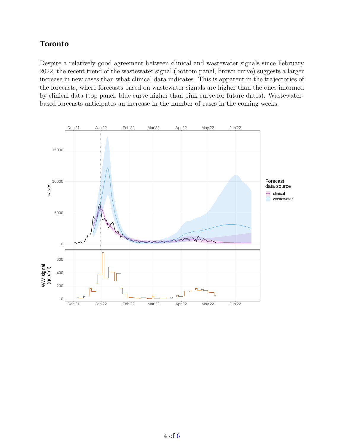### **Toronto**

Despite a relatively good agreement between clinical and wastewater signals since February 2022, the recent trend of the wastewater signal (bottom panel, brown curve) suggests a larger increase in new cases than what clinical data indicates. This is apparent in the trajectories of the forecasts, where forecasts based on wastewater signals are higher than the ones informed by clinical data (top panel, blue curve higher than pink curve for future dates). Wastewaterbased forecasts anticipates an increase in the number of cases in the coming weeks.

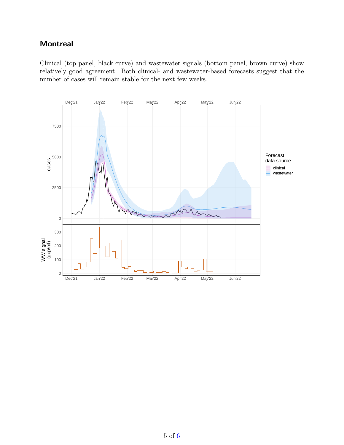#### **Montreal**

Clinical (top panel, black curve) and wastewater signals (bottom panel, brown curve) show relatively good agreement. Both clinical- and wastewater-based forecasts suggest that the number of cases will remain stable for the next few weeks.